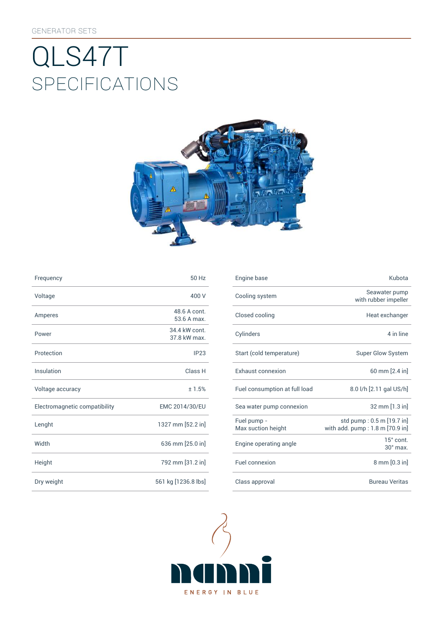# SpEcificATiONS QLS47T



| Frequency                     | 50 Hz                         | Engine base                |
|-------------------------------|-------------------------------|----------------------------|
| Voltage                       | 400 V                         | Cooling syst               |
| Amperes                       | 48.6 A cont.<br>53.6 A max.   | Closed cooli               |
| Power                         | 34.4 kW cont.<br>37.8 kW max. | Cylinders                  |
| Protection                    | IP23                          | Start (cold te             |
| Insulation                    | Class H                       | Exhaust con                |
| Voltage accuracy              | ±1.5%                         | Fuel consum                |
| Electromagnetic compatibility | EMC 2014/30/EU                | Sea water pu               |
| Lenght                        | 1327 mm [52.2 in]             | Fuel pump -<br>Max suction |
| Width                         | 636 mm [25.0 in]              | Engine opera               |
| Height                        | 792 mm [31.2 in]              | Fuel connexi               |
| Dry weight                    | 561 kg [1236.8 lbs]           | Class approv               |

| Frequency                     | 50 Hz                         | Engine base                       | Kubota                                                       |
|-------------------------------|-------------------------------|-----------------------------------|--------------------------------------------------------------|
| Voltage                       | 400 V                         | Cooling system                    | Seawater pump<br>with rubber impeller                        |
| Amperes                       | 48.6 A cont.<br>53.6 A max.   | Closed cooling                    | Heat exchanger                                               |
| Power                         | 34.4 kW cont.<br>37.8 kW max. | Cylinders                         | 4 in line                                                    |
| Protection                    | IP23                          | Start (cold temperature)          | Super Glow System                                            |
| Insulation                    | Class H                       | <b>Exhaust connexion</b>          | 60 mm [2.4 in]                                               |
| Voltage accuracy              | ±1.5%                         | Fuel consumption at full load     | 8.0 l/h [2.11 gal US/h]                                      |
| Electromagnetic compatibility | EMC 2014/30/EU                | Sea water pump connexion          | 32 mm [1.3 in]                                               |
| Lenght                        | 1327 mm [52.2 in]             | Fuel pump -<br>Max suction height | std pump: 0.5 m [19.7 in]<br>with add. pump: 1.8 m [70.9 in] |
| Width                         | 636 mm [25.0 in]              | Engine operating angle            | 15° cont.<br>$30^\circ$ max.                                 |
| Height                        | 792 mm [31.2 in]              | Fuel connexion                    | 8 mm [0.3 in]                                                |
| Dry weight                    | 561 kg [1236.8 lbs]           | Class approval                    | <b>Bureau Veritas</b>                                        |